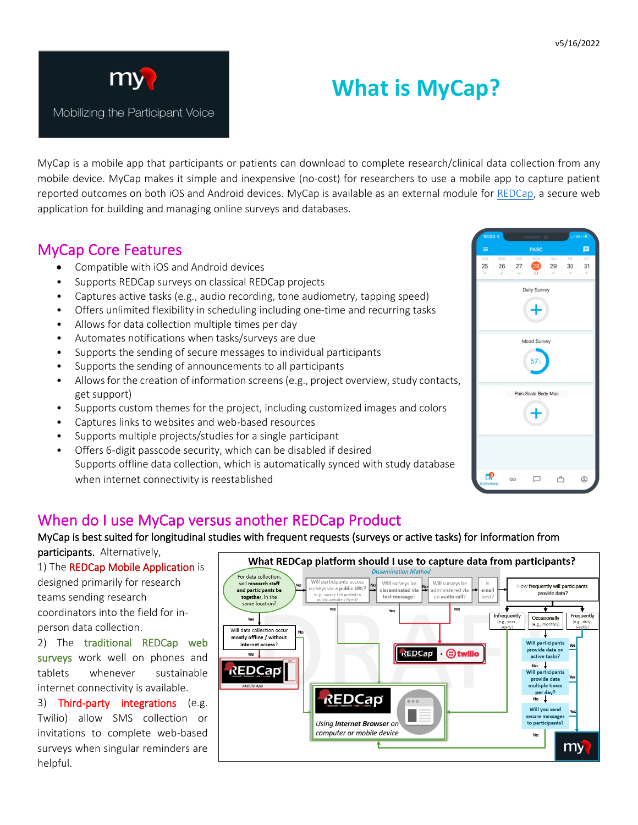

I

I

Mobilizing the Participant Voice

# **What is MyCap?**

MyCap is a mobile app that participants or patients can download to complete research/clinical data collection from any mobile device. MyCap makes it simple and inexpensive (no-cost) for researchers to use a mobile app to capture patient reported outcomes on both iOS and Android devices. MyCap is available as an external module for [REDCap,](https://www.project-redcap.org/) a secure web application for building and managing online surveys and databases.

### MyCap Core Features

- Compatible with iOS and Android devices
- Supports REDCap surveys on classical REDCap projects
- Captures active tasks (e.g., audio recording, tone audiometry, tapping speed)
- Offers unlimited flexibility in scheduling including one-time and recurring tasks
- Allows for data collection multiple times per day
- Automates notifications when tasks/surveys are due
- Supports the sending of secure messages to individual participants
- Supports the sending of announcements to all participants
- Allows for the creation of information screens(e.g., project overview, study contacts, get support)
- Supports custom themes for the project, including customized images and colors
- Captures links to websites and web-based resources
- Supports multiple projects/studies for a single participant
- Offers 6-digit passcode security, which can be disabled if desired Supports offline data collection, which is automatically synced with study database when internet connectivity is reestablished



### When do I use MyCap versus another REDCap Product

#### MyCap is best suited for longitudinal studies with frequent requests (surveys or active tasks) for information from

participants. Alternatively,

1) The REDCap Mobile Application is designed primarily for research teams sending research coordinators into the field for inperson data collection.

2) The traditional REDCap web surveys work well on phones and tablets whenever sustainable internet connectivity is available.

3) Third-party integrations (e.g. Twilio) allow SMS collection or invitations to complete web-based surveys when singular reminders are helpful.